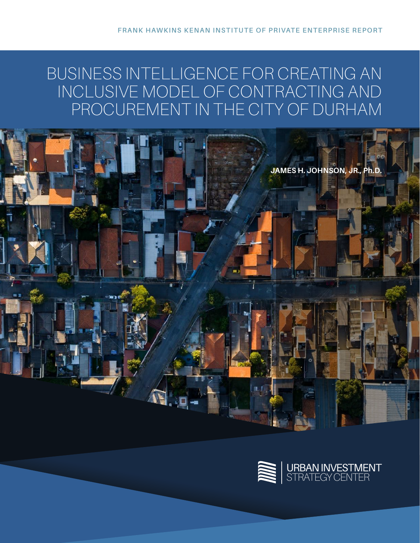# BUSINESS INTELLIGENCE FOR CREATING AN INCLUSIVE MODEL OF CONTRACTING AND PROCUREMENT IN THE CITY OF DURHAM



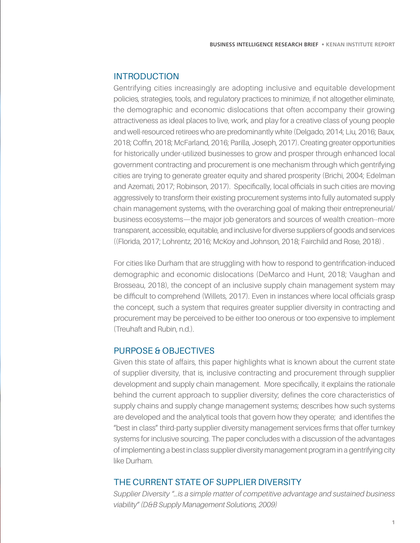# **INTRODUCTION**

Gentrifying cities increasingly are adopting inclusive and equitable development policies, strategies, tools, and regulatory practices to minimize, if not altogether eliminate, the demographic and economic dislocations that often accompany their growing attractiveness as ideal places to live, work, and play for a creative class of young people and well-resourced retirees who are predominantly white (Delgado, 2014; Liu, 2016; Baux, 2018; Coffin, 2018; McFarland, 2016; Parilla, Joseph, 2017). Creating greater opportunities for historically under-utilized businesses to grow and prosper through enhanced local government contracting and procurement is one mechanism through which gentrifying cities are trying to generate greater equity and shared prosperity (Brichi, 2004; Edelman and Azemati, 2017; Robinson, 2017). Specifically, local officials in such cities are moving aggressively to transform their existing procurement systems into fully automated supply chain management systems, with the overarching goal of making their entrepreneurial/ business ecosystems—the major job generators and sources of wealth creation--more transparent, accessible, equitable, and inclusive for diverse suppliers of goods and services ((Florida, 2017; Lohrentz, 2016; McKoy and Johnson, 2018; Fairchild and Rose, 2018) .

For cities like Durham that are struggling with how to respond to gentrification-induced demographic and economic dislocations (DeMarco and Hunt, 2018; Vaughan and Brosseau, 2018), the concept of an inclusive supply chain management system may be difficult to comprehend (Willets, 2017). Even in instances where local officials grasp the concept, such a system that requires greater supplier diversity in contracting and procurement may be perceived to be either too onerous or too expensive to implement (Treuhaft and Rubin, n.d.).

# PURPOSE & OBJECTIVES

Given this state of affairs, this paper highlights what is known about the current state of supplier diversity, that is, inclusive contracting and procurement through supplier development and supply chain management. More specifically, it explains the rationale behind the current approach to supplier diversity; defines the core characteristics of supply chains and supply change management systems; describes how such systems are developed and the analytical tools that govern how they operate; and identifies the "best in class" third-party supplier diversity management services firms that offer turnkey systems for inclusive sourcing. The paper concludes with a discussion of the advantages of implementing a best in class supplier diversity management program in a gentrifying city like Durham.

## THE CURRENT STATE OF SUPPLIER DIVERSITY

*Supplier Diversity "…is a simple matter of competitive advantage and sustained business viability" (D&B Supply Management Solutions, 2009)*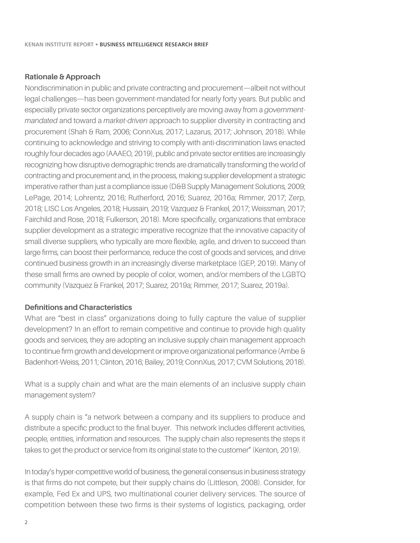# **Rationale & Approach**

Nondiscrimination in public and private contracting and procurement—albeit not without legal challenges—has been government-mandated for nearly forty years. But public and especially private sector organizations perceptively are moving away from a *governmentmandated* and toward a *market-driven* approach to supplier diversity in contracting and procurement (Shah & Ram, 2006; ConnXus, 2017; Lazarus, 2017; Johnson, 2018). While continuing to acknowledge and striving to comply with anti-discrimination laws enacted roughly four decades ago (AAAEO, 2019), public and private sector entities are increasingly recognizing how disruptive demographic trends are dramatically transforming the world of contracting and procurement and, in the process, making supplier development a strategic imperative rather than just a compliance issue (D&B Supply Management Solutions, 2009; LePage, 2014; Lohrentz, 2016; Rutherford, 2016; Suarez, 2016a; Rimmer, 2017; Zerp, 2018; LISC Los Angeles, 2018; Hussain, 2019; Vazquez & Frankel, 2017; Weissman, 2017; Fairchild and Rose, 2018; Fulkerson, 2018). More specifically, organizations that embrace supplier development as a strategic imperative recognize that the innovative capacity of small diverse suppliers, who typically are more flexible, agile, and driven to succeed than large firms, can boost their performance, reduce the cost of goods and services, and drive continued business growth in an increasingly diverse marketplace (GEP, 2019). Many of these small firms are owned by people of color, women, and/or members of the LGBTQ community (Vazquez & Frankel, 2017; Suarez, 2019a; Rimmer, 2017; Suarez, 2019a).

# **Definitions and Characteristics**

What are "best in class" organizations doing to fully capture the value of supplier development? In an effort to remain competitive and continue to provide high quality goods and services, they are adopting an inclusive supply chain management approach to continue firm growth and development or improve organizational performance (Ambe & Badenhort-Weiss, 2011; Clinton, 2016; Bailey, 2019; ConnXus, 2017; CVM Solutions, 2018).

What is a supply chain and what are the main elements of an inclusive supply chain management system?

A supply chain is "a network between a company and its suppliers to produce and distribute a specific product to the final buyer. This network includes different activities, people, entities, information and resources. The supply chain also represents the steps it takes to get the product or service from its original state to the customer" (Kenton, 2019).

In today's hyper-competitive world of business, the general consensus in business strategy is that firms do not compete, but their supply chains do (Littleson, 2008). Consider, for example, Fed Ex and UPS, two multinational courier delivery services. The source of competition between these two firms is their systems of logistics, packaging, order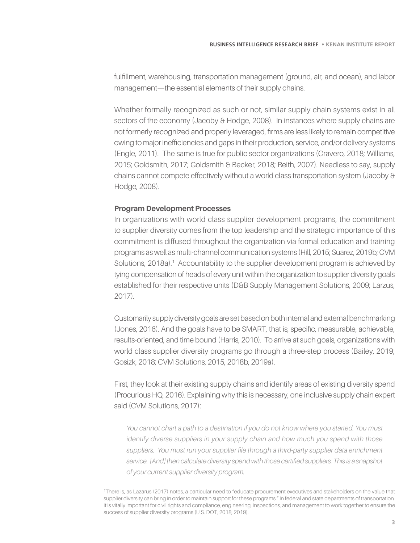fulfillment, warehousing, transportation management (ground, air, and ocean), and labor management—the essential elements of their supply chains.

Whether formally recognized as such or not, similar supply chain systems exist in all sectors of the economy (Jacoby & Hodge, 2008). In instances where supply chains are not formerly recognized and properly leveraged, firms are less likely to remain competitive owing to major inefficiencies and gaps in their production, service, and/or delivery systems (Engle, 2011). The same is true for public sector organizations (Cravero, 2018; Williams, 2015; Goldsmith, 2017; Goldsmith & Becker, 2018; Reith, 2007). Needless to say, supply chains cannot compete effectively without a world class transportation system (Jacoby & Hodge, 2008).

## **Program Development Processes**

In organizations with world class supplier development programs, the commitment to supplier diversity comes from the top leadership and the strategic importance of this commitment is diffused throughout the organization via formal education and training programs as well as multi-channel communication systems (Hill, 2015; Suarez, 2019b; CVM Solutions, 2018a).<sup>1</sup> Accountability to the supplier development program is achieved by tying compensation of heads of every unit within the organization to supplier diversity goals established for their respective units (D&B Supply Management Solutions, 2009; Larzus, 2017).

Customarily supply diversity goals are set based on both internal and external benchmarking (Jones, 2016). And the goals have to be SMART, that is, specific, measurable, achievable, results-oriented, and time bound (Harris, 2010). To arrive at such goals, organizations with world class supplier diversity programs go through a three-step process (Bailey, 2019; Gosizk, 2018; CVM Solutions, 2015, 2018b, 2019a).

First, they look at their existing supply chains and identify areas of existing diversity spend (Procurious HQ, 2016). Explaining why this is necessary, one inclusive supply chain expert said (CVM Solutions, 2017):

*You cannot chart a path to a destination if you do not know where you started. You must identify diverse suppliers in your supply chain and how much you spend with those suppliers. You must run your supplier file through a third-party supplier data enrichment service. [And] then calculate diversity spend with those certified suppliers. This is a snapshot of your current supplier diversity program.* 

<sup>1</sup> There is, as Lazarus (2017) notes, a particular need to "educate procurement executives and stakeholders on the value that supplier diversity can bring in order to maintain support for these programs." In federal and state departments of transportation, it is vitally important for civil rights and compliance, engineering, inspections, and management to work together to ensure the success of supplier diversity programs (U.S. DOT, 2018, 2019).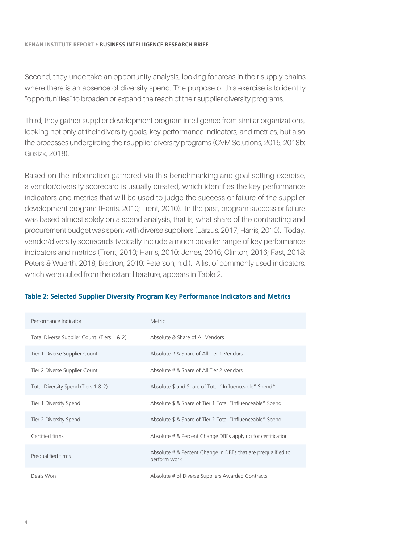Second, they undertake an opportunity analysis, looking for areas in their supply chains where there is an absence of diversity spend. The purpose of this exercise is to identify "opportunities" to broaden or expand the reach of their supplier diversity programs.

Third, they gather supplier development program intelligence from similar organizations, looking not only at their diversity goals, key performance indicators, and metrics, but also the processes undergirding their supplier diversity programs (CVM Solutions, 2015, 2018b; Gosizk, 2018).

Based on the information gathered via this benchmarking and goal setting exercise, a vendor/diversity scorecard is usually created, which identifies the key performance indicators and metrics that will be used to judge the success or failure of the supplier development program (Harris, 2010; Trent, 2010). In the past, program success or failure was based almost solely on a spend analysis, that is, what share of the contracting and procurement budget was spent with diverse suppliers (Larzus, 2017; Harris, 2010). Today, vendor/diversity scorecards typically include a much broader range of key performance indicators and metrics (Trent, 2010; Harris, 2010; Jones, 2016; Clinton, 2016; Fast, 2018; Peters & Wuerth, 2018; Biedron, 2019; Peterson, n.d.). A list of commonly used indicators, which were culled from the extant literature, appears in Table 2.

## **Table 2: Selected Supplier Diversity Program Key Performance Indicators and Metrics**

| Performance Indicator                      | <b>Metric</b>                                                                |
|--------------------------------------------|------------------------------------------------------------------------------|
| Total Diverse Supplier Count (Tiers 1 & 2) | Absolute & Share of All Vendors                                              |
| Tier 1 Diverse Supplier Count              | Absolute # & Share of All Tier 1 Vendors                                     |
| Tier 2 Diverse Supplier Count              | Absolute # & Share of All Tier 2 Vendors                                     |
| Total Diversity Spend (Tiers 1 & 2)        | Absolute \$ and Share of Total "Influenceable" Spend*                        |
| Tier 1 Diversity Spend                     | Absolute \$ & Share of Tier 1 Total "Influenceable" Spend                    |
| Tier 2 Diversity Spend                     | Absolute \$ & Share of Tier 2 Total "Influenceable" Spend                    |
| Certified firms                            | Absolute # & Percent Change DBEs applying for certification                  |
| Prequalified firms                         | Absolute # & Percent Change in DBEs that are prequalified to<br>perform work |
| Deals Won                                  | Absolute # of Diverse Suppliers Awarded Contracts                            |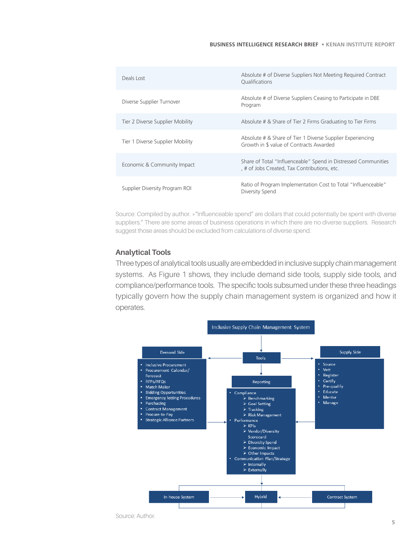| Deals Lost                       | Absolute # of Diverse Suppliers Not Meeting Required Contract<br><b>Oualifications</b>                         |
|----------------------------------|----------------------------------------------------------------------------------------------------------------|
| Diverse Supplier Turnover        | Absolute # of Diverse Suppliers Ceasing to Participate in DBE<br>Program                                       |
| Tier 2 Diverse Supplier Mobility | Absolute # & Share of Tier 2 Firms Graduating to Tier Firms                                                    |
| Tier 1 Diverse Supplier Mobility | Absolute # & Share of Tier 1 Diverse Supplier Experiencing<br>Growth in \$ value of Contracts Awarded          |
| Economic & Community Impact      | Share of Total "Influenceable" Spend in Distressed Communities<br>, # of Jobs Created, Tax Contributions, etc. |
| Supplier Diversity Program ROI   | Ratio of Program Implementation Cost to Total "Influenceable"<br>Diversity Spend                               |

Source: Compiled by author. \*"Influenceable spend" are dollars that could potentially be spent with diverse suppliers." There are some areas of business operations in which there are no diverse suppliers. Research suggest those areas should be excluded from calculations of diverse spend.

## **Analytical Tools**

Three types of analytical tools usually are embedded in inclusive supply chain management systems. As Figure 1 shows, they include demand side tools, supply side tools, and compliance/performance tools. The specific tools subsumed under these three headings typically govern how the supply chain management system is organized and how it operates.



Source: Author.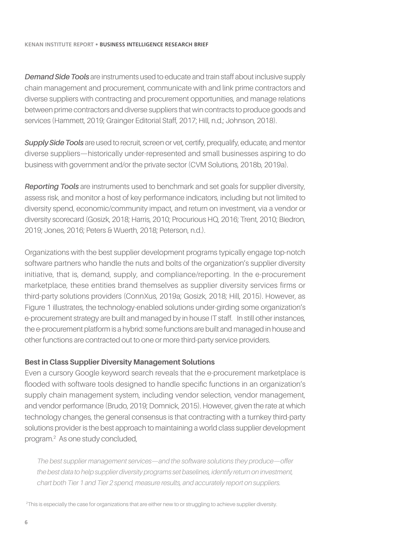*Demand Side Tools* are instruments used to educate and train staff about inclusive supply chain management and procurement, communicate with and link prime contractors and diverse suppliers with contracting and procurement opportunities, and manage relations between prime contractors and diverse suppliers that win contracts to produce goods and services (Hammett, 2019; Grainger Editorial Staff, 2017; Hill, n.d.; Johnson, 2018).

*Supply Side Tools* are used to recruit, screen or vet, certify, prequalify, educate, and mentor diverse suppliers—historically under-represented and small businesses aspiring to do business with government and/or the private sector (CVM Solutions, 2018b, 2019a).

*Reporting Tools* are instruments used to benchmark and set goals for supplier diversity, assess risk, and monitor a host of key performance indicators, including but not limited to diversity spend, economic/community impact, and return on investment, via a vendor or diversity scorecard (Gosizk, 2018; Harris, 2010; Procurious HQ, 2016; Trent, 2010; Biedron, 2019; Jones, 2016; Peters & Wuerth, 2018; Peterson, n.d.).

Organizations with the best supplier development programs typically engage top-notch software partners who handle the nuts and bolts of the organization's supplier diversity initiative, that is, demand, supply, and compliance/reporting. In the e-procurement marketplace, these entities brand themselves as supplier diversity services firms or third-party solutions providers (ConnXus, 2019a; Gosizk, 2018; Hill, 2015). However, as Figure 1 illustrates, the technology-enabled solutions under-girding some organization's e-procurement strategy are built and managed by in house IT staff. In still other instances, the e-procurement platform is a hybrid: some functions are built and managed in house and other functions are contracted out to one or more third-party service providers.

## **Best in Class Supplier Diversity Management Solutions**

Even a cursory Google keyword search reveals that the e-procurement marketplace is flooded with software tools designed to handle specific functions in an organization's supply chain management system, including vendor selection, vendor management, and vendor performance (Brudo, 2019; Domnick, 2015). However, given the rate at which technology changes, the general consensus is that contracting with a turnkey third-party solutions provider is the best approach to maintaining a world class supplier development program.2 As one study concluded,

*The best supplier management services—and the software solutions they produce—offer the best data to help supplier diversity programs set baselines, identify return on investment, chart both Tier 1 and Tier 2 spend, measure results, and accurately report on suppliers.*

<sup>2</sup>This is especially the case for organizations that are either new to or struggling to achieve supplier diversity.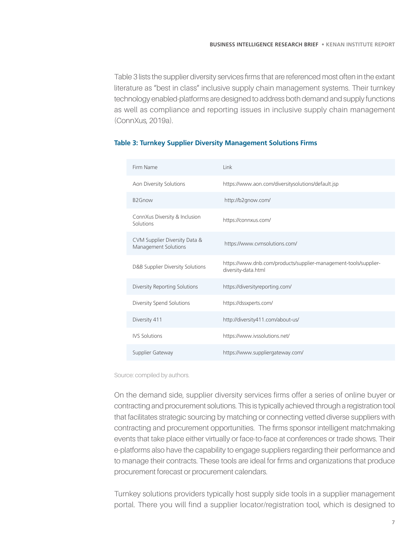Table 3 lists the supplier diversity services firms that are referenced most often in the extant literature as "best in class" inclusive supply chain management systems. Their turnkey technology enabled-platforms are designed to address both demand and supply functions as well as compliance and reporting issues in inclusive supply chain management (ConnXus, 2019a).

### **Table 3: Turnkey Supplier Diversity Management Solutions Firms**

| Firm Name                                             | Link                                                                                    |
|-------------------------------------------------------|-----------------------------------------------------------------------------------------|
| Aon Diversity Solutions                               | https://www.aon.com/diversitysolutions/default.jsp                                      |
| B <sub>2</sub> Gnow                                   | http://b2gnow.com/                                                                      |
| ConnXus Diversity & Inclusion<br>Solutions            | https://connxus.com/                                                                    |
| CVM Supplier Diversity Data &<br>Management Solutions | https://www.cvmsolutions.com/                                                           |
| D&B Supplier Diversity Solutions                      | https://www.dnb.com/products/supplier-management-tools/supplier-<br>diversity-data.html |
| Diversity Reporting Solutions                         | https://diversityreporting.com/                                                         |
| Diversity Spend Solutions                             | https://dssxperts.com/                                                                  |
| Diversity 411                                         | http://diversity411.com/about-us/                                                       |
| <b>IVS Solutions</b>                                  | https://www.ivssolutions.net/                                                           |
| Supplier Gateway                                      | https://www.suppliergateway.com/                                                        |

Source: compiled by authors.

On the demand side, supplier diversity services firms offer a series of online buyer or contracting and procurement solutions. This is typically achieved through a registration tool that facilitates strategic sourcing by matching or connecting vetted diverse suppliers with contracting and procurement opportunities. The firms sponsor intelligent matchmaking events that take place either virtually or face-to-face at conferences or trade shows. Their e-platforms also have the capability to engage suppliers regarding their performance and to manage their contracts. These tools are ideal for firms and organizations that produce procurement forecast or procurement calendars.

Turnkey solutions providers typically host supply side tools in a supplier management portal. There you will find a supplier locator/registration tool, which is designed to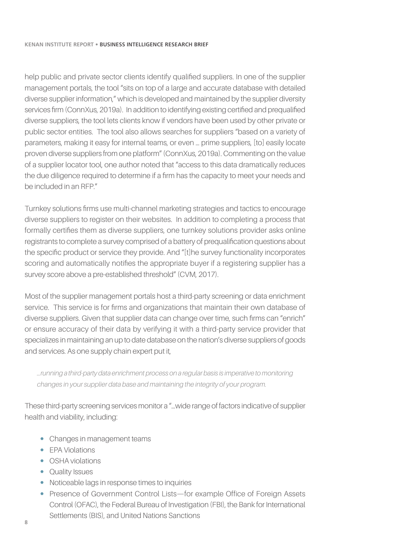help public and private sector clients identify qualified suppliers. In one of the supplier management portals, the tool "sits on top of a large and accurate database with detailed diverse supplier information," which is developed and maintained by the supplier diversity services firm (ConnXus, 2019a). In addition to identifying existing certified and prequalified diverse suppliers, the tool lets clients know if vendors have been used by other private or public sector entities. The tool also allows searches for suppliers "based on a variety of parameters, making it easy for internal teams, or even … prime suppliers, [to] easily locate proven diverse suppliers from one platform" (ConnXus, 2019a). Commenting on the value of a supplier locator tool, one author noted that "access to this data dramatically reduces the due diligence required to determine if a firm has the capacity to meet your needs and be included in an RFP."

Turnkey solutions firms use multi-channel marketing strategies and tactics to encourage diverse suppliers to register on their websites. In addition to completing a process that formally certifies them as diverse suppliers, one turnkey solutions provider asks online registrants to complete a survey comprised of a battery of prequalification questions about the specific product or service they provide. And "[t]he survey functionality incorporates scoring and automatically notifies the appropriate buyer if a registering supplier has a survey score above a pre-established threshold" (CVM, 2017).

Most of the supplier management portals host a third-party screening or data enrichment service. This service is for firms and organizations that maintain their own database of diverse suppliers. Given that supplier data can change over time, such firms can "enrich" or ensure accuracy of their data by verifying it with a third-party service provider that specializes in maintaining an up to date database on the nation's diverse suppliers of goods and services. As one supply chain expert put it,

*…running a third-party data enrichment process on a regular basis is imperative to monitoring changes in your supplier data base and maintaining the integrity of your program.* 

These third-party screening services monitor a "…wide range of factors indicative of supplier health and viability, including:

- Changes in management teams
- EPA Violations
- OSHA violations
- Quality Issues
- Noticeable lags in response times to inquiries
- Presence of Government Control Lists—for example Office of Foreign Assets Control (OFAC), the Federal Bureau of Investigation (FBI), the Bank for International Settlements (BIS), and United Nations Sanctions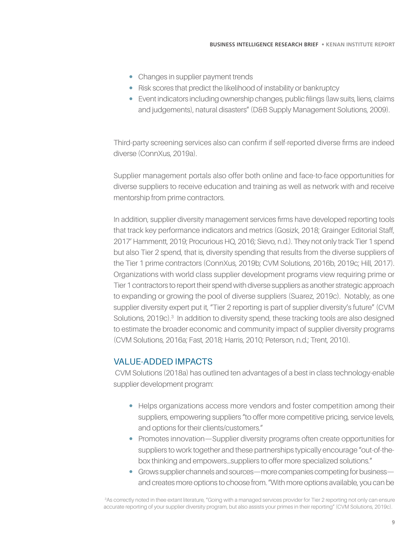- Changes in supplier payment trends
- Risk scores that predict the likelihood of instability or bankruptcy
- Event indicators including ownership changes, public filings (law suits, liens, claims and judgements), natural disasters" (D&B Supply Management Solutions, 2009).

Third-party screening services also can confirm if self-reported diverse firms are indeed diverse (ConnXus, 2019a).

Supplier management portals also offer both online and face-to-face opportunities for diverse suppliers to receive education and training as well as network with and receive mentorship from prime contractors.

In addition, supplier diversity management services firms have developed reporting tools that track key performance indicators and metrics (Gosizk, 2018; Grainger Editorial Staff, 2017' Hammentt, 2019; Procurious HQ, 2016; Sievo, n.d.). They not only track Tier 1 spend but also Tier 2 spend, that is, diversity spending that results from the diverse suppliers of the Tier 1 prime contractors (ConnXus, 2019b; CVM Solutions, 2016b, 2019c; Hill, 2017). Organizations with world class supplier development programs view requiring prime or Tier 1 contractors to report their spend with diverse suppliers as another strategic approach to expanding or growing the pool of diverse suppliers (Suarez, 2019c). Notably, as one supplier diversity expert put it, "Tier 2 reporting is part of supplier diversity's future" (CVM Solutions, 2019c).<sup>3</sup> In addition to diversity spend, these tracking tools are also designed to estimate the broader economic and community impact of supplier diversity programs (CVM Solutions, 2016a; Fast, 2018; Harris, 2010; Peterson, n.d.; Trent, 2010).

# VALUE-ADDED IMPACTS

 CVM Solutions (2018a) has outlined ten advantages of a best in class technology-enable supplier development program:

- Helps organizations access more vendors and foster competition among their suppliers, empowering suppliers "to offer more competitive pricing, service levels, and options for their clients/customers."
- Promotes innovation—Supplier diversity programs often create opportunities for suppliers to work together and these partnerships typically encourage "out-of-thebox thinking and empowers…suppliers to offer more specialized solutions."
- Grows supplier channels and sources—more companies competing for business and creates more options to choose from. "With more options available, you can be

 3 As correctly noted in thee extant literature, "Going with a managed services provider for Tier 2 reporting not only can ensure accurate reporting of your supplier diversity program, but also assists your primes in their reporting" (CVM Solutions, 2019c).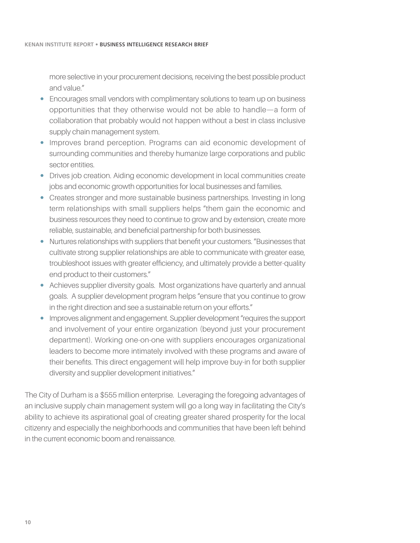more selective in your procurement decisions, receiving the best possible product and value."

- Encourages small vendors with complimentary solutions to team up on business opportunities that they otherwise would not be able to handle—a form of collaboration that probably would not happen without a best in class inclusive supply chain management system.
- Improves brand perception. Programs can aid economic development of surrounding communities and thereby humanize large corporations and public sector entities.
- Drives job creation. Aiding economic development in local communities create jobs and economic growth opportunities for local businesses and families.
- Creates stronger and more sustainable business partnerships. Investing in long term relationships with small suppliers helps "them gain the economic and business resources they need to continue to grow and by extension, create more reliable, sustainable, and beneficial partnership for both businesses.
- Nurtures relationships with suppliers that benefit your customers. "Businesses that cultivate strong supplier relationships are able to communicate with greater ease, troubleshoot issues with greater efficiency, and ultimately provide a better-quality end product to their customers."
- Achieves supplier diversity goals. Most organizations have quarterly and annual goals. A supplier development program helps "ensure that you continue to grow in the right direction and see a sustainable return on your efforts."
- Improves alignment and engagement. Supplier development "requires the support and involvement of your entire organization (beyond just your procurement department). Working one-on-one with suppliers encourages organizational leaders to become more intimately involved with these programs and aware of their benefits. This direct engagement will help improve buy-in for both supplier diversity and supplier development initiatives."

The City of Durham is a \$555 million enterprise. Leveraging the foregoing advantages of an inclusive supply chain management system will go a long way in facilitating the City's ability to achieve its aspirational goal of creating greater shared prosperity for the local citizenry and especially the neighborhoods and communities that have been left behind in the current economic boom and renaissance.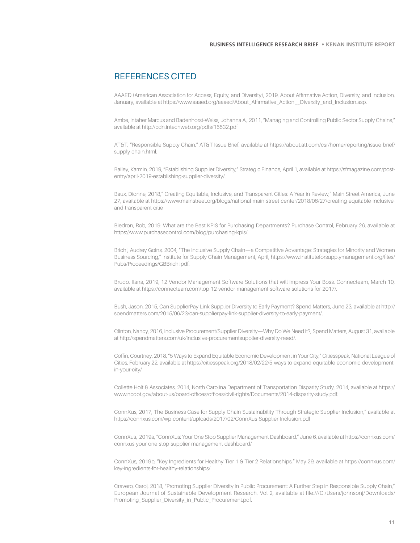# REFERENCES CITED

AAAED (American Association for Access, Equity, and Diversity), 2019, About Affirmative Action, Diversity, and Inclusion, January, available at https://www.aaaed.org/aaaed/About\_Affirmative\_Action\_\_Diversity\_and\_Inclusion.asp.

Ambe, Intaher Marcus and Badenhorst-Weiss, Johanna A., 2011, "Managing and Controlling Public Sector Supply Chains," available at http://cdn.intechweb.org/pdfs/15532.pdf

AT&T, "Responsible Supply Chain," AT&T Issue Brief, available at https://about.att.com/csr/home/reporting/issue-brief/ supply-chain.html.

Bailey, Karmin, 2019, "Establishing Supplier Diversity," Strategic Finance, April 1, available at https://sfmagazine.com/postentry/april-2019-establishing-supplier-diversity/.

Baux, Dionne, 2018," Creating Equitable, Inclusive, and Transparent Cities: A Year in Review," Main Street America, June 27, available at https://www.mainstreet.org/blogs/national-main-street-center/2018/06/27/creating-equitable-inclusiveand-transparent-citie

Biedron, Rob, 2019. What are the Best KPIS for Purchasing Departments? Purchase Control, February 26, available at https://www.purchasecontrol.com/blog/purchasing-kpis/.

Brichi, Audrey Goins, 2004, "The Inclusive Supply Chain—a Competitive Advantage: Strategies for Minority and Women Business Sourcing," Institute for Supply Chain Management, April, https://www.instituteforsupplymanagement.org/files/ Pubs/Proceedings/GBBrichi.pdf.

Brudo, IIana, 2019, 12 Vendor Management Software Solutions that will Impress Your Boss, Connecteam, March 10, available at https://connecteam.com/top-12-vendor-management-software-solutions-for-2017/.

Bush, Jason, 2015, Can SupplierPay Link Supplier Diversity to Early Payment? Spend Matters, June 23, available at http:// spendmatters.com/2015/06/23/can-supplierpay-link-supplier-diversity-to-early-payment/.

Clinton, Nancy, 2016, Inclusive Procurement/Supplier Diversity—Why Do We Need It?, Spend Matters, August 31, available at http://spendmatters.com/uk/inclusive-procurementsupplier-diversity-need/.

Coffin, Courtney, 2018, "5 Ways to Expand Equitable Economic Development in Your City," Citiesspeak, National League of Cities, February 22, available at https://citiesspeak.org/2018/02/22/5-ways-to-expand-equitable-economic-developmentin-your-city/

Collette Holt & Associates, 2014, North Carolina Department of Transportation Disparity Study, 2014, available at https:// www.ncdot.gov/about-us/board-offices/offices/civil-rights/Documents/2014-disparity-study.pdf.

ConnXus, 2017, The Business Case for Supply Chain Sustainability Through Strategic Supplier Inclusion," available at https://connxus.com/wp-content/uploads/2017/02/ConnXus-Supplier-Inclusion.pdf

ConnXus, 2019a, "ConnXus: Your One Stop Supplier Management Dashboard," June 6, available at https://connxus.com/ connxus-your-one-stop-supplier-management-dashboard/

ConnXus, 2019b, "Key Ingredients for Healthy Tier 1 & Tier 2 Relationships," May 29, available at https://connxus.com/ key-ingredients-for-healthy-relationships/.

Cravero, Carol, 2018, "Promoting Supplier Diversity in Public Procurement: A Further Step in Responsible Supply Chain," European Journal of Sustainable Development Research, Vol 2, available at file:///C:/Users/johnsonj/Downloads/ Promoting\_Supplier\_Diversity\_in\_Public\_Procurement.pdf.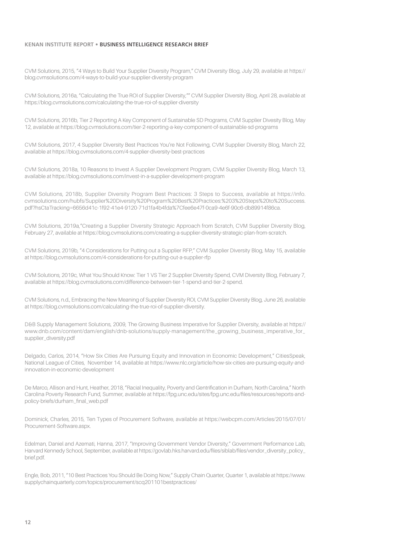CVM Solutions, 2015, "4 Ways to Build Your Supplier Diversity Program," CVM Diversity Blog, July 29, available at https:// blog.cvmsolutions.com/4-ways-to-build-your-supplier-diversity-program

CVM Solutions, 2016a, "Calculating the True ROI of Supplier Diversity,"" CVM Supplier Diversity Blog, April 28, available at https://blog.cvmsolutions.com/calculating-the-true-roi-of-supplier-diversity

CVM Solutions, 2016b, Tier 2 Reporting A Key Component of Sustainable SD Programs, CVM Supplier Divesity Blog, May 12, available at https://blog.cvmsolutions.com/tier-2-reporting-a-key-component-of-sustainable-sd-programs

CVM Solutions, 2017, 4 Supplier Diversity Best Practices You're Not Following, CVM Supplier Diversity Blog, March 22, available at https://blog.cvmsolutions.com/4-supplier-diversity-best-practices

CVM Solutions, 2018a, 10 Reasons to Invest A Supplier Development Program, CVM Supplier Diversity Blog, March 13, available at https://blog.cvmsolutions.com/invest-in-a-supplier-development-program

CVM Solutions, 2018b, Supplier Diversity Program Best Practices: 3 Steps to Success, available at https://info. cvmsolutions.com/hubfs/Supplier%20Diversity%20Program%20Best%20Practices:%203%20Steps%20to%20Success. pdf?hsCtaTracking=6656d41c-1f92-41e4-9120-71d1fa4b4fda%7Cfee6e47f-0ca9-4e6f-90c6-db89914f86ca.

CVM Solutions, 2019a,"Creating a Supplier Diversity Strategic Approach from Scratch, CVM Supplier Diversity Blog, February 27, available at https://blog.cvmsolutions.com/creating-a-supplier-diversity-strategic-plan-from-scratch.

CVM Solutions, 2019b, "4 Considerations for Putting out a Supplier RFP," CVM Supplier Diversity Blog, May 15, available at https://blog.cvmsolutions.com/4-considerations-for-putting-out-a-supplier-rfp

CVM Solutions, 2019c, What You Should Know: Tier 1 VS Tier 2 Supplier Diversity Spend, CVM Diversity Blog, February 7, available at https://blog.cvmsolutions.com/difference-between-tier-1-spend-and-tier-2-spend.

CVM Solutions, n.d., Embracing the New Meaning of Supplier Diversity ROI, CVM Supplier Diversity Blog, June 26, available at https://blog.cvmsolutions.com/calculating-the-true-roi-of-supplier-diversity.

D&B Supply Management Solutions, 2009, The Growing Business Imperative for Supplier Diversity, available at https:// www.dnb.com/content/dam/english/dnb-solutions/supply-management/the\_growing\_business\_imperative\_for\_ supplier\_diversity.pdf

Delgado, Carlos, 2014, "How Six Cities Are Pursuing Equity and Innovation in Economic Development," CitiesSpeak, National League of Cities, November 14, available at https://www.nlc.org/article/how-six-cities-are-pursuing-equity-andinnovation-in-economic-development

De Marco, Allison and Hunt, Heather, 2018, "Racial Inequality, Poverty and Gentrification in Durham, North Carolina," North Carolina Poverty Research Fund, Summer, available at https://fpg.unc.edu/sites/fpg.unc.edu/files/resources/reports-andpolicy-briefs/durham\_final\_web.pdf

Dominick, Charles, 2015, Ten Types of Procurement Software, available at https://webcpm.com/Articles/2015/07/01/ Procurement-Software.aspx.

Edelman, Daniel and Azemati, Hanna, 2017, "Improving Government Vendor Diversity," Government Performance Lab, Harvard Kennedy School, September, available at https://govlab.hks.harvard.edu/files/siblab/files/vendor\_diversity\_policy\_ brief.pdf.

Engle, Bob, 2011, "10 Best Practices You Should Be Doing Now," Supply Chain Quarter, Quarter 1, available at https://www. supplychainquarterly.com/topics/procurement/scq201101bestpractices/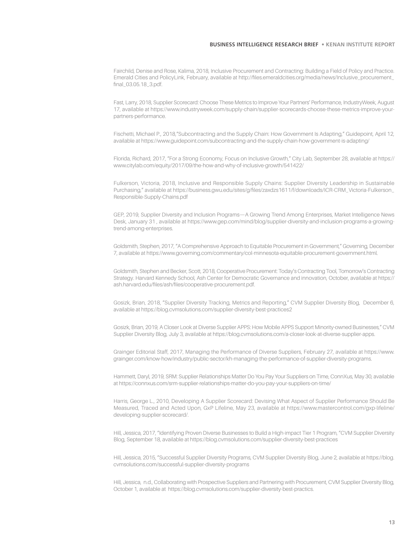#### **BUSINESS INTELLIGENCE RESEARCH BRIEF • KENAN INSTITUTE REPORT**

Fairchild, Denise and Rose, Kalima, 2018, Inclusive Procurement and Contracting: Building a Field of Policy and Practice. Emerald Cities and PolicyLink, February, available at http://files.emeraldcities.org/media/news/Inclusive\_procurement\_ final\_03.05.18\_3.pdf.

Fast, Larry, 2018, Supplier Scorecard: Choose These Metrics to Improve Your Partners' Performance, IndustryWeek, August 17, available at https://www.industryweek.com/supply-chain/supplier-scorecards-choose-these-metrics-improve-yourpartners-performance.

Fischetti, Michael P., 2018,"Subcontracting and the Supply Chain: How Government Is Adapting," Guidepoint, April 12, available at https://www.guidepoint.com/subcontracting-and-the-supply-chain-how-government-is-adapting/

Florida, Richard, 2017, "For a Strong Economy, Focus on Inclusive Growth," City Lab, September 28, available at https:// www.citylab.com/equity/2017/09/the-how-and-why-of-inclusive-growth/541422/

Fulkerson, Victoria, 2018, Inclusive and Responsible Supply Chains: Supplier Diversity Leadership in Sustainable Purchasing," available at https://business.gwu.edu/sites/g/files/zaxdzs1611/f/downloads/ICR-CRM\_Victoria-Fulkerson\_ Responsible-Supply-Chains.pdf

GEP, 2019, Supplier Diversity and Inclusion Programs—A Growing Trend Among Enterprises, Market Intelligence News Desk, January 31 , available at https://www.gep.com/mind/blog/supplier-diversity-and-inclusion-programs-a-growingtrend-among-enterprises.

Goldsmith, Stephen, 2017, "A Comprehensive Approach to Equitable Procurement in Government," Governing, December 7, available at https://www.governing.com/commentary/col-minnesota-equitable-procurement-government.html.

Goldsmith, Stephen and Becker, Scott, 2018, Cooperative Procurement: Today's Contracting Tool, Tomorrow's Contracting Strategy. Harvard Kennedy School, Ash Center for Democratic Governance and innovation, October, available at https:// ash.harvard.edu/files/ash/files/cooperative-procurement.pdf.

Gosizk, Brian, 2018, "Supplier Diversity Tracking, Metrics and Reporting," CVM Supplier Diversity Blog, December 6, available at https://blog.cvmsolutions.com/supplier-diversity-best-practices2

Gosizk, Brian, 2019, A Closer Look at Diverse Supplier APPS: How Mobile APPS Support Minority-owned Businesses," CVM Supplier Diversity Blog, July 3, available at https://blog.cvmsolutions.com/a-closer-look-at-diverse-supplier-apps.

Grainger Editorial Staff, 2017, Managing the Performance of Diverse Suppliers, February 27, available at https://www. grainger.com/know-how/industry/public-sector/kh-managing-the-performance-of-supplier-diversity-programs.

Hammett, Daryl, 2019, SRM: Supplier Relationships Matter Do You Pay Your Suppliers on Time, ConnXus, May 30, available at https://connxus.com/srm-supplier-relationships-matter-do-you-pay-your-suppliers-on-time/

Harris, George L., 2010, Developing A Supplier Scorecard: Devising What Aspect of Supplier Performance Should Be Measured, Traced and Acted Upon, GxP Lifeline, May 23, available at https://www.mastercontrol.com/gxp-lifeline/ developing-supplier-scorecard/.

Hill, Jessica, 2017, "Identifying Proven Diverse Businesses to Build a High-impact Tier 1 Program, "CVM Supplier Diversity Blog, September 18, available at https://blog.cvmsolutions.com/supplier-diversity-best-practices

Hill, Jessica, 2015, "Successful Supplier Diversity Programs, CVM Supplier Diversity Blog, June 2, available at https://blog. cvmsolutions.com/successful-supplier-diversity-programs

Hill, Jessica, n.d., Collaborating with Prospective Suppliers and Partnering with Procurement, CVM Supplier Diversity Blog, October 1, available at https://blog.cvmsolutions.com/supplier-diversity-best-practics.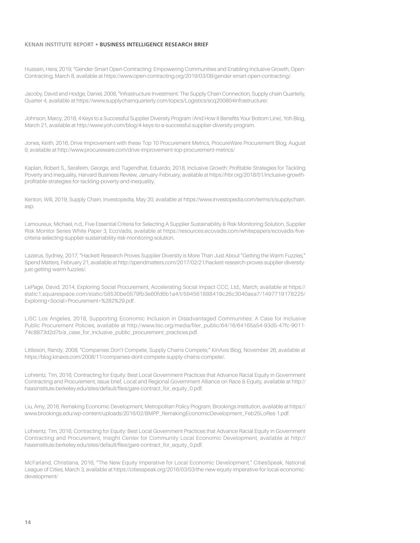Hussain, Hera, 2019, "Gender-Smart Open Contracting: Empowering Communities and Enabling Inclusive Growth, Open-Contracting, March 8, available at https://www.open-contracting.org/2019/03/08/gender-smart-open-contracting/.

Jacoby, David and Hodge, Daniel, 2008, "Infrastructure Investment: The Supply Chain Connection, Supply chain Quarterly, Quarter 4, available at https://www.supplychainquarterly.com/topics/Logistics/scq200804infrastructure/.

Johnson, Marcy, 2018, 4 Keys to a Successful Supplier Diversity Program (And How It Benefits Your Bottom Line), Yoh Blog, March 21, available at http://www.yoh.com/blog/4-keys-to-a-successful-supplier-diversity-program.

Jones, Keith, 2016, Drive Improvement with these Top 10 Procurement Metrics, ProcureWare Procurement Blog, August 9, available at http://www.procureware.com/drive-improvement-top-procurement-metrics/

Kaplan, Robert S., Serafeim, George, and Tugendhat, Eduardo, 2018, Inclusive Growth: Profitable Strategies for Tackling Poverty and Inequality, Harvard Business Review, January-February, available at https://hbr.org/2018/01/inclusive-growthprofitable-strategies-for-tackling-poverty-and-inequality.

Kenton, Will, 2019, Supply Chain, Investopedia, May 20, available at https://www.investopedia.com/terms/s/supplychain. asp.

Lamoureux, Michael, n.d., Five Essential Criteria for Selecting A Supplier Sustainability & Risk Monitoring Solution, Supplier Risk Monitor Series White Paper 3, EcoVadis, available at https://resources.ecovadis.com/whitepapers/ecovadis-fivecriteria-selecting-supplier-sustainability-risk-monitoring-solution.

Lazarus, Sydney, 2017, "Hackett Research Proves Supplier Diversity is More Than Just About "Getting the Warm Fuzzies," Spend Matters, February 21, available at http://spendmatters.com/2017/02/21/hackett-research-proves-supplier-diversityjust-getting-warm-fuzzies/.

LePage, David, 2014, Exploring Social Procurement, Accelerating Social Impact CCC, Ltd., March, available at https:// static1.squarespace.com/static/58530be0579fb3e60fd6b1a4/t/594561888419c26c3040aea7/1497719178225/ Exploring+Social+Procurement+%282%29.pdf.

LISC Los Angeles, 2018, Supporting Economic Inclusion in Disadvantaged Communities: A Case for Inclusive Public Procurement Policies, available at http://www.lisc.org/media/filer\_public/64/16/64165a54-93d5-47fc-9011- 74c8873d2d7b/a\_case\_for\_inclusive\_public\_procurement\_practices.pdf.

Littleson, Randy, 2008, "Companies Don't Compete, Supply Chains Compete," KinAxis Blog, November 26, available at https://blog.kinaxis.com/2008/11/companies-dont-compete-supply-chains-compete/.

Lohrentz, Tim, 2016, Contracting for Equity: Best Local Government Practices that Advance Racial Equity in Government Contracting and Procurement, Issue brief, Local and Regional Government Alliance on Race & Equity, available at http:// haasinstitute.berkeley.edu/sites/default/files/gare-contract\_for\_equity\_0.pdf.

Liu, Amy, 2016, Remaking Economic Development, Metropolitan Policy Program, Brookings Institution, available at https:// www.brookings.edu/wp-content/uploads/2016/02/BMPP\_RemakingEconomicDevelopment\_Feb25LoRes-1.pdf.

Lohrentz, Tim, 2016, Contracting for Equity: Best Local Government Practices that Advance Racial Equity in Government Contracting and Procurement, Insight Center for Community Local Economic Development, available at http:// haasinstitute.berkeley.edu/sites/default/files/gare-contract\_for\_equity\_0.pdf.

McFarland, Christiana, 2016, "The New Equity Imperative for Local Economic Development," CitiesSpeak, National League of Cities, March 3, available at https://citiesspeak.org/2016/03/03/the-new-equity-imperative-for-local-economicdevelopment/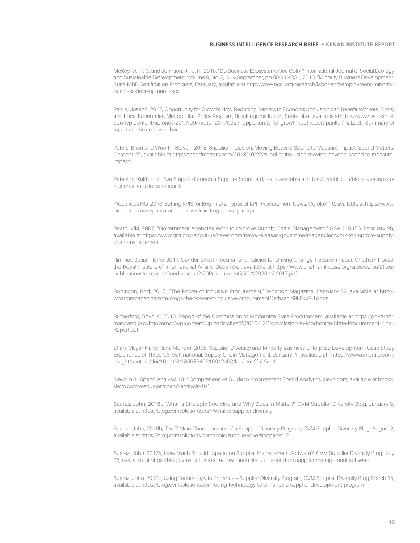#### **BUSINESS INTELLIGENCE RESEARCH BRIEF • KENAN INSTITUTE REPORT**

McKoy, Jr., H. C. and Johnson, Jr., J. H., 2018, "Do Business Ecosystems See Color?"nternational Journal of Social Ecology and Sustainable Development, Volume 9, No. 3, July-September, pp 80-91NCSL, 2016, "Minority Business Development: State MBE Certification Programs, February, available at http://www.ncsl.org/research/labor-and-employment/minoritybusiness-development.aspx.

Parilla, Joseph, 2017, Opportunity for Growth: How Reducing Barriers to Economic Inclusion can Benefit Workers, Firms, and Local Economies, Metropolitan Policy Program, Brookings Institution, September, available at https://www.brookings. edu/wp-content/uploads/2017/09/metro\_20170927\_opportunity-for-growth-iedl-report-parilla-final.pdf. Summary of report can be accessed here:

Peters, Brian and Wuerth, Steven, 2018, Supplier Inclusion: Moving Beyond Spend to Measure Impact, Spend Matters, October 22, available at http://spendmatters.com/2018/10/22/supplier-inclusion-moving-beyond-spend-to-measureimpact/

Peterson, Keith, n.d., Five Steps to Launch a Supplier Scorecard, Halo, available at https://halobi.com/blog/five-steps-tolaunch-a-supplier-scorecard/

Procurious HQ, 2016, Setting KPIS for Beginners: Types of KPI\_ Procurement News, October 10, available at https://www. procurious.com/procurement-news/kpis-beginners-type-kpi.

Reath, Viki, 2007, "Government Agencies Work to Improve Supply Chain Management," GSA #10456, February 26, available at https://www.gsa.gov/about-us/newsroom/news-releases/government-agencies-work-to-improve-supplychain-management.

Rimmer, Susan Harris, 2017, Gender-Smart Procurement: Policies for Driving Change, Research Paper, Chatham House: the Royal Institute of International Affairs, December, available at https://www.chathamhouse.org/sites/default/files/ publications/research/Gender-smart%20Procurement%20-%2020.12.2017.pdf.

Robinson, Rod, 2017, "The Power of Inclusive Procurement," Wharton Magazine, February 22, available at http:// whartonmagazine.com/blogs/the-power-of-inclusive-procurement/#sthash.d9kFkvRU.dpbs

Rutherford, Boyd K., 2016, Report of the Commission to Modernize State Procurement, available at https://governor. maryland.gov/ltgovernor/wp-content/uploads/sites/2/2016/12/Commission-to-Modernize-State-Procurement-Final-Report.pdf.

Shah, Mayank and Ram, Monder, 2006, Supplier Diversity and Minority Business Enterprise Development: Case Study Experience of Three US Multinational, Supply Chain Management, January, 1, available at https://www.emerald.com/ insight/content/doi/10.1108/13598540610642493/full/html?fullSc=1

Sievo, n.d., Spend Analysis 101: Comprehensive Guide to Procurement Spend Analytics, sievo.com, available at https:// sievo.com/resources/spend-analysis-101.

Suarez, John, 2016a, What is Strategic Sourcing and Why Does in Matter?" CVM Supplier Diversity Blog, January 9, available at https://blog.cvmsolutions.com/what-is-supplier-diversity

Suarez, John, 2016b, The 7 Main Characteristics of a Supplier Diversity Program, CVM Supplier Diversity Blog, August 2, available at https://blog.cvmsolutions.com/topic/supplier-diversity/page/12.

Suarez, John, 2017a, How Much Should I Spend on Supplier Management Software?, CVM Supplier Diversity Blog, July 26, available at https://blog.cvmsolutions.com/how-much-should-i-spend-on-supplier-management-software

Suarez, John, 2017b, Using Technology to Enhance a Supplier Diversity Program, CVM Supplier Diversity Blog, March 15, available at https://blog.cvmsolutions.com/using-technology-to-enhance-a-supplier-development-program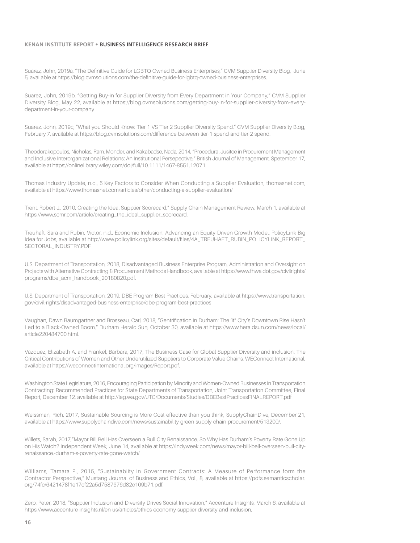Suarez, John, 2019a, "The Definitive Guide for LGBTQ-Owned Business Enterprises," CVM Supplier Diversity Blog, June 5, available at https://blog.cvmsolutions.com/the-definitive-guide-for-lgbtq-owned-business-enterprises.

Suarez, John, 2019b, "Getting Buy-in for Supplier Diversity from Every Department in Your Company," CVM Supplier Diversity Blog, May 22, available at https://blog.cvmsolutions.com/getting-buy-in-for-supplier-diversity-from-everydepartment-in-your-company

Suarez, John, 2019c, "What you Should Know: Tier 1 VS Tier 2 Supplier Diversity Spend," CVM Supplier Diversity Blog, February 7, available at https://blog.cvmsolutions.com/difference-between-tier-1-spend-and-tier-2-spend.

Theodorakopoulos, Nicholas, Ram, Monder, and Kakabadse, Nada, 2014, "Procedural Jusitce in Procurement Management and Inclusive Interorganizational Relations: An Institutional Persepective," British Journal of Management, Spetember 17, available at https://onlinelibrary.wiley.com/doi/full/10.1111/1467-8551.12071.

Thomas Industry Update, n.d., 5 Key Factors to Consider When Conducting a Supplier Evaluation, thomasnet.com, available at https://www.thomasnet.com/articles/other/conducting-a-supplier-evaluation/

Trent, Robert J., 2010, Creating the Ideal Supplier Scorecard," Supply Chain Management Review, March 1, available at https://www.scmr.com/article/creating\_the\_ideal\_supplier\_scorecard.

Treuhaft, Sara and Rubin, Victor, n.d., Economic Inclusion: Advancing an Equity-Driven Growth Model, PolicyLink Big Idea for Jobs, available at http://www.policylink.org/sites/default/files/4A\_TREUHAFT\_RUBIN\_POLICYLINK\_REPORT\_ SECTORAL\_INDUSTRY.PDF

U.S. Department of Transportation, 2018, Disadvantaged Business Enterprise Program, Administration and Oversight on Projects with Alternative Contracting & Procurement Methods Handbook, available at https://www.fhwa.dot.gov/civilrights/ programs/dbe\_acm\_handbook\_20180820.pdf.

U.S. Department of Transportation, 2019, DBE Program Best Practices, February, available at https://www.transportation. gov/civil-rights/disadvantaged-business-enterprise/dbe-program-best-practices

Vaughan, Dawn Baumgartner and Brosseau, Carl, 2018, "Gentrification in Durham: The 'it" City's Downtown Rise Hasn't Led to a Black-Owned Boom," Durham Herald Sun, October 30, available at https://www.heraldsun.com/news/local/ article220484700.html.

Vazquez, Elizabeth A. and Frankel, Barbara, 2017, The Business Case for Global Supplier Diversity and inclusion: The Critical Contributions of Women and Other Underutilized Suppliers to Corporate Value Chains, WEConnect International, available at https://weconnectinternational.org/images/Report.pdf.

Washington State Legislature, 2016, Encouraging Participation by Minority and Women-Owned Businesses In Transportation Contracting: Recommended Practices for State Departments of Transportation, Joint Transportation Committee, Final Report, December 12, available at http://leg.wa.gov/JTC/Documents/Studies/DBEBestPracticesFINALREPORT.pdf

Weissman, Rich, 2017, Sustainable Sourcing is More Cost-effective than you think, SupplyChainDive, December 21, available at https://www.supplychaindive.com/news/sustainability-green-supply-chain-procurement/513200/.

Willets, Sarah, 2017,"Mayor Bill Bell Has Overseen a Bull City Renaissance. So Why Has Durham's Poverty Rate Gone Up on His Watch? Independent Week, June 14, available at https://indyweek.com/news/mayor-bill-bell-overseen-bull-cityrenaissance.-durham-s-poverty-rate-gone-watch/

Williams, Tamara P., 2015, "Sustainabiity in Government Contracts: A Measure of Performance form the Contractor Perspective," Mustang Journal of Business and Ethics, Vol., 8, available at https://pdfs.semanticscholar. org/74fc/6421478f1e17cf22a5d7587676d82c109b71.pdf.

Zerp, Peter, 2018, "Supplier Inclusion and Diversity Drives Social Innovation," Accenture-Insights, March 6, available at https://www.accenture-insights.nl/en-us/articles/ethics-economy-supplier-diversity-and-inclusion.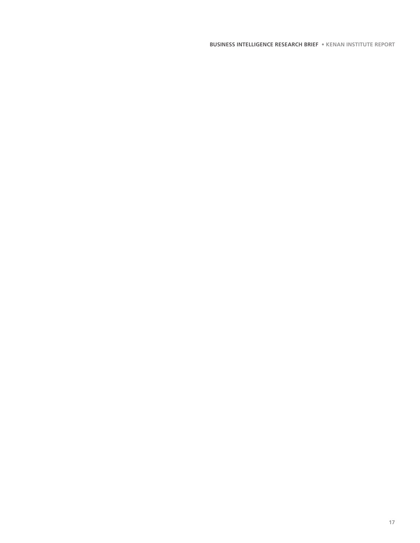**BUSINESS INTELLIGENCE RESEARCH BRIEF • KENAN INSTITUTE REPORT**